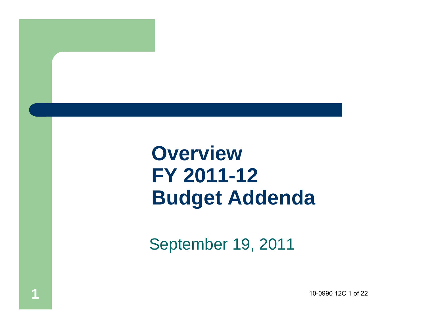## **Overview FY 2011-12 Budget Addenda**

September 19, 2011

**1**

10-0990 12C 1 of 22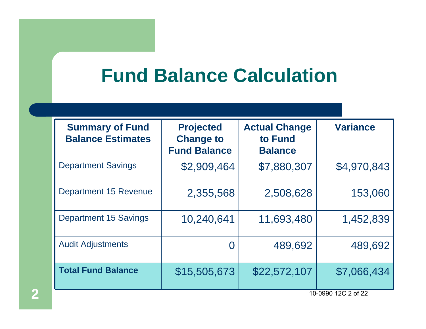#### **Fund Balance Calculation**

| <b>Summary of Fund</b><br><b>Balance Estimates</b> | <b>Projected</b><br><b>Change to</b><br><b>Fund Balance</b> | <b>Actual Change</b><br>to Fund<br><b>Balance</b> | <b>Variance</b> |
|----------------------------------------------------|-------------------------------------------------------------|---------------------------------------------------|-----------------|
| <b>Department Savings</b>                          | \$2,909,464                                                 | \$7,880,307                                       | \$4,970,843     |
| <b>Department 15 Revenue</b>                       | 2,355,568                                                   | 2,508,628                                         | 153,060         |
| <b>Department 15 Savings</b>                       | 10,240,641                                                  | 11,693,480                                        | 1,452,839       |
| <b>Audit Adjustments</b>                           |                                                             | 489,692                                           | 489,692         |
| <b>Total Fund Balance</b>                          | \$15,505,673                                                | \$22,572,107                                      | \$7,066,434     |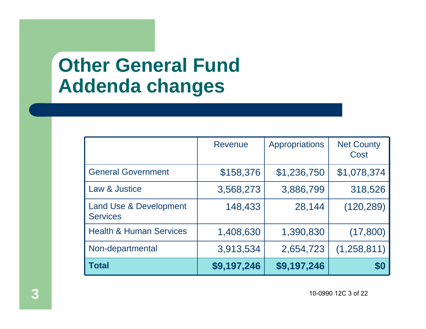## **Other General Fund Addenda changes**

| Total                                                | \$9,197,246    | \$9,197,246    | \$0                       |
|------------------------------------------------------|----------------|----------------|---------------------------|
| Non-departmental                                     | 3,913,534      | 2,654,723      | (1,258,811)               |
| <b>Health &amp; Human Services</b>                   | 1,408,630      | 1,390,830      | (17,800)                  |
| <b>Land Use &amp; Development</b><br><b>Services</b> | 148,433        | 28,144         | (120, 289)                |
| Law & Justice                                        | 3,568,273      | 3,886,799      | 318,526                   |
| <b>General Government</b>                            | \$158,376      | \$1,236,750    | \$1,078,374               |
|                                                      | <b>Revenue</b> | Appropriations | <b>Net County</b><br>Cost |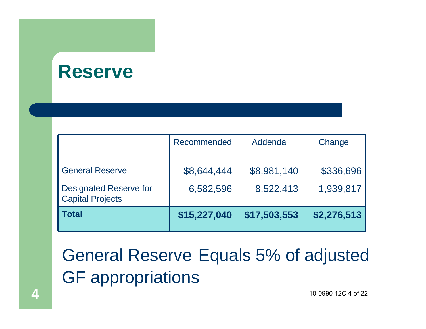#### **Reserve**

| <b>Total</b>                                             | \$15,227,040 | \$17,503,553 | \$2,276,513 |
|----------------------------------------------------------|--------------|--------------|-------------|
| <b>Designated Reserve for</b><br><b>Capital Projects</b> | 6,582,596    | 8,522,413    | 1,939,817   |
| <b>General Reserve</b>                                   | \$8,644,444  | \$8,981,140  | \$336,696   |
|                                                          | Recommended  | Addenda      | Change      |

General Reserve Equals 5% of adjusted GF appropriations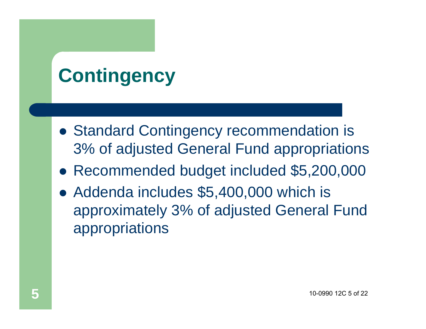# **Contingency**

- **Standard Contingency recommendation is** 3% of adjusted General Fund appropriations
- Recommended budget included \$5,200,000
- Addenda includes \$5,400,000 which is approximately 3% of adjusted General Fund appropriations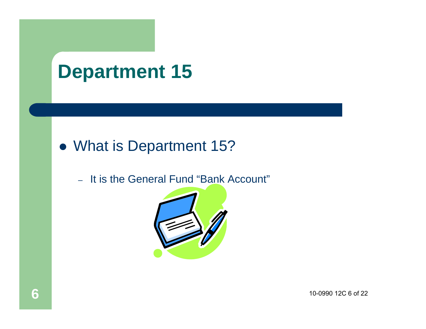#### **Department 15**

#### • What is Department 15?

– It is the General Fund "Bank Account"

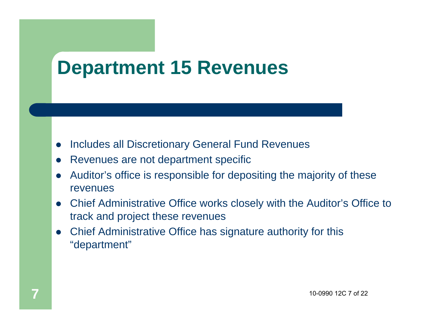## **Department 15 Revenues**

- $\bullet$ Includes all Discretionary General Fund Revenues
- $\bullet$ Revenues are not department specific
- $\bullet$  Auditor's office is responsible for depositing the majority of these revenues
- $\bullet$  Chief Administrative Office works closely with the Auditor's Office to track and project these revenues
- $\bullet$  Chief Administrative Office has signature authority for this "department"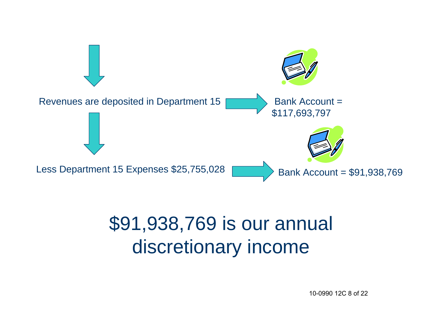

## \$91,938,769 is our annual discretionary income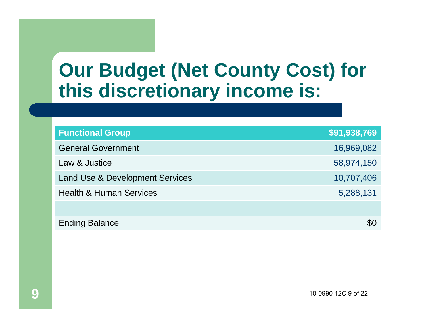### **Our Budget (Net County Cost) for this discretionary income is:**

| <b>Functional Group</b>                    | \$91,938,769 |
|--------------------------------------------|--------------|
| <b>General Government</b>                  | 16,969,082   |
| Law & Justice                              | 58,974,150   |
| <b>Land Use &amp; Development Services</b> | 10,707,406   |
| <b>Health &amp; Human Services</b>         | 5,288,131    |
|                                            |              |
| <b>Ending Balance</b>                      | \$0          |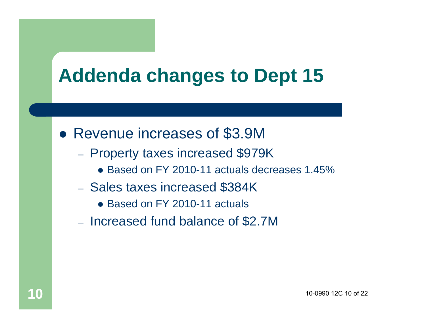## **Addenda changes to Dept 15**

- Revenue increases of \$3.9M
	- Property taxes increased \$979K
		- Based on FY 2010-11 actuals decreases 1.45%
	- Sales taxes increased \$384K
		- Based on FY 2010-11 actuals
	- Increased fund balance of \$2.7M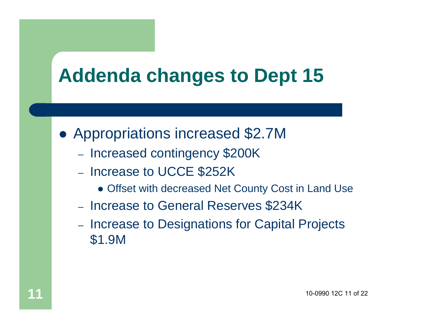## **Addenda changes to Dept 15**

- Appropriations increased \$2.7M
	- Increased contingency \$200K
	- Increase to UCCE \$252K
		- Offset with decreased Net County Cost in Land Use
	- Increase to General Reserves \$234K
	- Increase to Designations for Capital Projects \$1.9M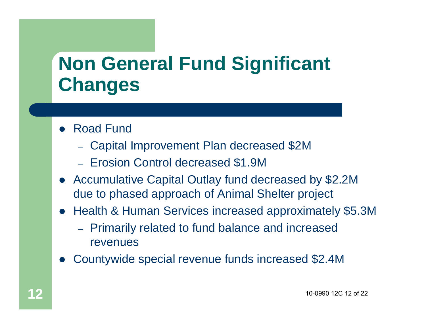# **Non General Fund Significant Changes**

- Road Fund
	- Capital Improvement Plan decreased \$2M
	- Erosion Control decreased \$1.9M
- $\bullet$  Accumulative Capital Outlay fund decreased by \$2.2M due to phased approach of Animal Shelter project
- Health & Human Services increased approximately \$5.3M
	- Primarily related to fund balance and increased revenues
- $\bullet$ Countywide special revenue funds increased \$2.4M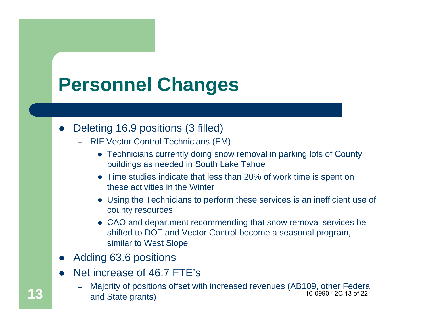# **Personnel Changes**

#### $\bullet$ Deleting 16.9 positions (3 filled)

- RIF Vector Control Technicians (EM)
	- Technicians currently doing snow removal in parking lots of County buildings as needed in South Lake Tahoe
	- Time studies indicate that less than 20% of work time is spent on these activities in the Winter
	- Using the Technicians to perform these services is an inefficient use of county resources
	- CAO and department recommending that snow removal services be shifted to DOT and Vector Control become a seasonal program, similar to West Slope
- $\bullet$ Adding 63.6 positions
- $\bullet$  Net increase of 46.7 FTE's
	- Majority of positions offset with increased revenues (AB109, other Federal **13** and State grants) 10-0990 12C 13 of 22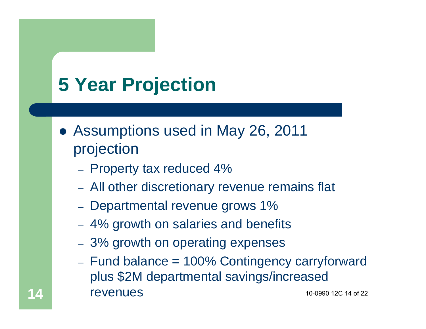# **5 Year Projection**

**14**

- Assumptions used in May 26, 2011 projection
	- Property tax reduced 4%
	- All other discretionary revenue remains flat
	- Departmental revenue grows 1%
	- 4% growth on salaries and benefits
	- 3% growth on operating expenses
	- Fund balance = 100% Contingency carryforward plus \$2M departmental savings/increased revenues 10-0990 12C 14 of 22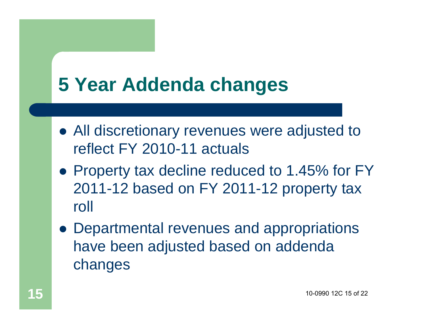## **5 Year Addenda changes**

- All discretionary revenues were adjusted to reflect FY 2010-11 actuals
- Property tax decline reduced to 1.45% for FY 2011-12 based on FY 2011-12 property tax roll
- Departmental revenues and appropriations have been adjusted based on addenda changes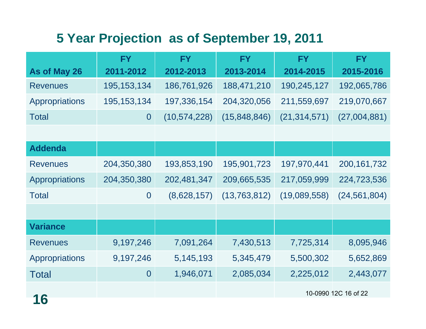#### **5 Year Projection as of September 19, 2011**

|                       | <b>FY</b>        | <b>FY</b>      | <b>FY</b>      | <b>FY</b>      | <b>FY</b>            |
|-----------------------|------------------|----------------|----------------|----------------|----------------------|
| As of May 26          | 2011-2012        | 2012-2013      | 2013-2014      | 2014-2015      | 2015-2016            |
| <b>Revenues</b>       | 195, 153, 134    | 186,761,926    | 188,471,210    | 190,245,127    | 192,065,786          |
| <b>Appropriations</b> | 195, 153, 134    | 197,336,154    | 204,320,056    | 211,559,697    | 219,070,667          |
| <b>Total</b>          | $\overline{0}$   | (10, 574, 228) | (15, 848, 846) | (21, 314, 571) | (27,004,881)         |
|                       |                  |                |                |                |                      |
| <b>Addenda</b>        |                  |                |                |                |                      |
| <b>Revenues</b>       | 204,350,380      | 193,853,190    | 195,901,723    | 197,970,441    | 200, 161, 732        |
| <b>Appropriations</b> | 204,350,380      | 202,481,347    | 209,665,535    | 217,059,999    | 224,723,536          |
| <b>Total</b>          | $\overline{0}$   | (8,628,157)    | (13, 763, 812) | (19,089,558)   | (24, 561, 804)       |
|                       |                  |                |                |                |                      |
| <b>Variance</b>       |                  |                |                |                |                      |
| <b>Revenues</b>       | 9,197,246        | 7,091,264      | 7,430,513      | 7,725,314      | 8,095,946            |
| Appropriations        | 9,197,246        | 5,145,193      | 5,345,479      | 5,500,302      | 5,652,869            |
| <b>Total</b>          | $\boldsymbol{0}$ | 1,946,071      | 2,085,034      | 2,225,012      | 2,443,077            |
|                       |                  |                |                |                | 10-0990 12C 16 of 22 |
| 16                    |                  |                |                |                |                      |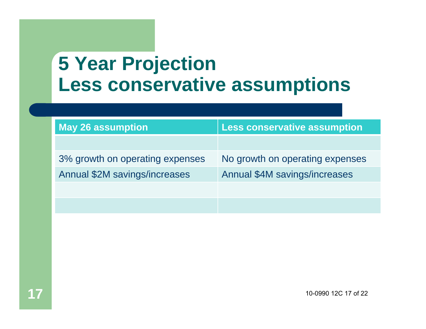## **5 Year Projection Less conservative assumptions**

| <b>May 26 assumption</b>        | <b>Less conservative assumption</b> |  |  |
|---------------------------------|-------------------------------------|--|--|
|                                 |                                     |  |  |
| 3% growth on operating expenses | No growth on operating expenses     |  |  |
| Annual \$2M savings/increases   | Annual \$4M savings/increases       |  |  |
|                                 |                                     |  |  |
|                                 |                                     |  |  |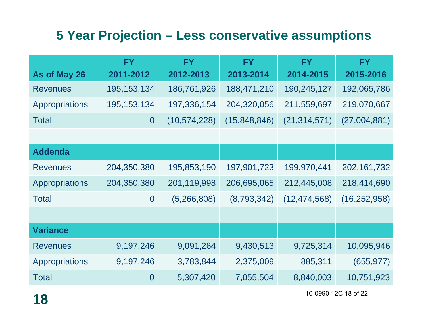#### **5 Year Projection – Less conservative assumptions**

|                 | <b>FY</b>      | <b>FY</b>      | <b>FY</b>    | <b>FY</b>      | <b>FY</b>      |
|-----------------|----------------|----------------|--------------|----------------|----------------|
| As of May 26    | 2011-2012      | 2012-2013      | 2013-2014    | 2014-2015      | 2015-2016      |
| <b>Revenues</b> | 195, 153, 134  | 186,761,926    | 188,471,210  | 190,245,127    | 192,065,786    |
| Appropriations  | 195, 153, 134  | 197,336,154    | 204,320,056  | 211,559,697    | 219,070,667    |
| <b>Total</b>    | $\overline{0}$ | (10, 574, 228) | (15,848,846) | (21, 314, 571) | (27,004,881)   |
|                 |                |                |              |                |                |
| <b>Addenda</b>  |                |                |              |                |                |
| <b>Revenues</b> | 204,350,380    | 195,853,190    | 197,901,723  | 199,970,441    | 202, 161, 732  |
| Appropriations  | 204,350,380    | 201,119,998    | 206,695,065  | 212,445,008    | 218,414,690    |
| <b>Total</b>    | $\overline{0}$ | (5,266,808)    | (8,793,342)  | (12, 474, 568) | (16, 252, 958) |
|                 |                |                |              |                |                |
| <b>Variance</b> |                |                |              |                |                |
| <b>Revenues</b> | 9,197,246      | 9,091,264      | 9,430,513    | 9,725,314      | 10,095,946     |
| Appropriations  | 9,197,246      | 3,783,844      | 2,375,009    | 885,311        | (655, 977)     |
| <b>Total</b>    | $\overline{0}$ | 5,307,420      | 7,055,504    | 8,840,003      | 10,751,923     |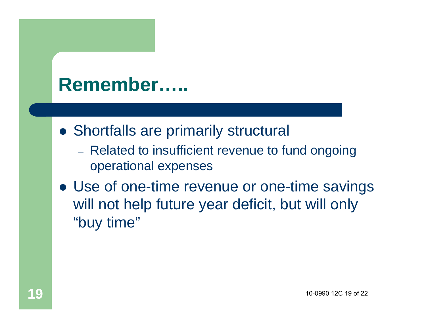#### **Remember…..**

- **Shortfalls are primarily structural** 
	- Related to insufficient revenue to fund ongoing operational expenses
- Use of one-time revenue or one-time savings will not help future year deficit, but will only "buy time"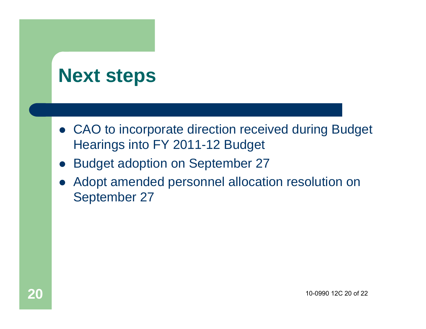#### **Next steps**

- CAO to incorporate direction received during Budget Hearings into FY 2011-12 Budget
- $\bullet$ Budget adoption on September 27
- $\bullet$  Adopt amended personnel allocation resolution on September 27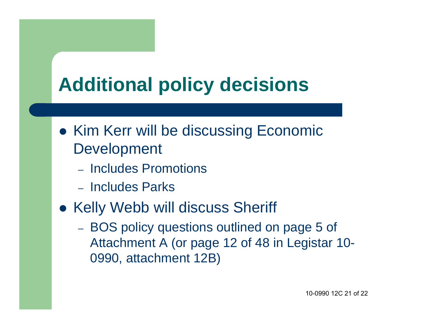# **Additional policy decisions**

- **Kim Kerr will be discussing Economic** Development
	- Includes Promotions
	- Includes Parks
- **Kelly Webb will discuss Sheriff** 
	- BOS policy questions outlined on page 5 of Attachment A (or page 12 of 48 in Legistar 10- 0990, attachment 12B)